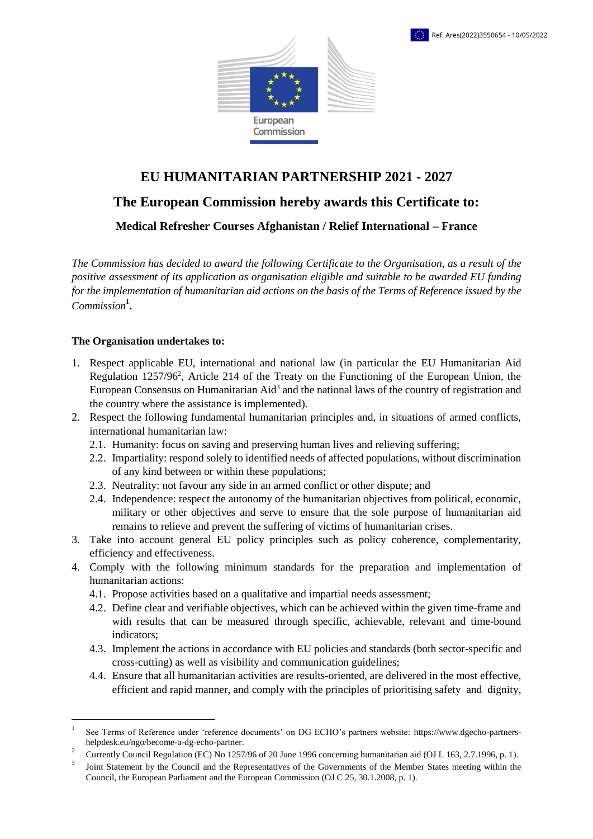

## **EU HUMANITARIAN PARTNERSHIP 2021 - 2027**

## **The European Commission hereby awards this Certificate to:**

**Medical Refresher Courses Afghanistan / Relief International – France** 

*The Commission has decided to award the following Certificate to the Organisation, as a result of the positive assessment of its application as organisation eligible and suitable to be awarded EU funding for the implementation of humanitarian aid actions on the basis of the Terms of Reference issued by the Commission***<sup>1</sup> .**

## **The Organisation undertakes to:**

1

- 1. Respect applicable EU, international and national law (in particular the EU Humanitarian Aid Regulation [1257/96](https://eur-lex.europa.eu/legal-content/EN/ALL/?uri=CELEX:31996R1257&qid=1588057893626)<sup>2</sup>, Article 214 of the Treaty on the Functioning of the European Union, the European Consensus on Humanitarian Aid<sup>3</sup> and the national laws of the country of registration and the country where the assistance is implemented).
- 2. Respect the following fundamental humanitarian principles and, in situations of armed conflicts, international humanitarian law:
	- 2.1. Humanity: focus on saving and preserving human lives and relieving suffering;
	- 2.2. Impartiality: respond solely to identified needs of affected populations, without discrimination of any kind between or within these populations;
	- 2.3. Neutrality: not favour any side in an armed conflict or other dispute; and
	- 2.4. Independence: respect the autonomy of the humanitarian objectives from political, economic, military or other objectives and serve to ensure that the sole purpose of humanitarian aid remains to relieve and prevent the suffering of victims of humanitarian crises.
- 3. Take into account general EU policy principles such as policy coherence, complementarity, efficiency and effectiveness.
- 4. Comply with the following minimum standards for the preparation and implementation of humanitarian actions:
	- 4.1. Propose activities based on a qualitative and impartial needs assessment;
	- 4.2. Define clear and verifiable objectives, which can be achieved within the given time-frame and with results that can be measured through specific, achievable, relevant and time-bound indicators;
	- 4.3. Implement the actions in accordance with EU policies and standards (both sector-specific and cross-cutting) as well as visibility and communication guidelines;
	- 4.4. Ensure that all humanitarian activities are results-oriented, are delivered in the most effective, efficient and rapid manner, and comply with the principles of prioritising safety and dignity,

<sup>1</sup> See Terms of Reference under 'reference documents' on DG ECHO's partners website: https://www.dgecho-partnershelpdesk.eu/ngo/become-a-dg-echo-partner.

 $\mathcal{L}$ Currently Council Regulation (EC) No 1257/96 of 20 June 1996 concerning humanitarian aid (OJ L 163, 2.7.1996, p. 1).

<sup>3</sup> Joint Statement by the Council and the Representatives of the Governments of the Member States meeting within the Council, the European Parliament and the European Commission (OJ C 25, 30.1.2008, p. 1).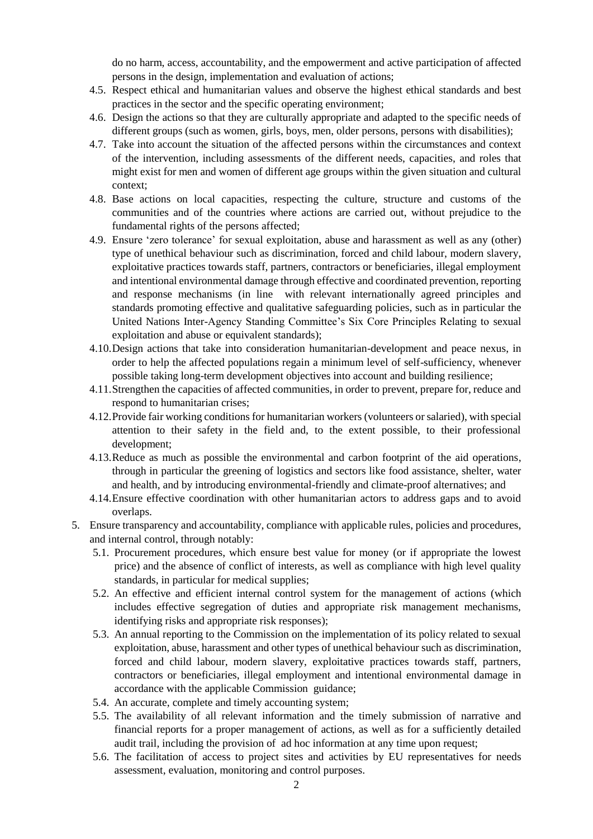do no harm, access, accountability, and the empowerment and active participation of affected persons in the design, implementation and evaluation of actions;

- 4.5. Respect ethical and humanitarian values and observe the highest ethical standards and best practices in the sector and the specific operating environment;
- 4.6. Design the actions so that they are culturally appropriate and adapted to the specific needs of different groups (such as women, girls, boys, men, older persons, persons with disabilities);
- 4.7. Take into account the situation of the affected persons within the circumstances and context of the intervention, including assessments of the different needs, capacities, and roles that might exist for men and women of different age groups within the given situation and cultural context;
- 4.8. Base actions on local capacities, respecting the culture, structure and customs of the communities and of the countries where actions are carried out, without prejudice to the fundamental rights of the persons affected;
- 4.9. Ensure 'zero tolerance' for sexual exploitation, abuse and harassment as well as any (other) type of unethical behaviour such as discrimination, forced and child labour, modern slavery, exploitative practices towards staff, partners, contractors or beneficiaries, illegal employment and intentional environmental damage through effective and coordinated prevention, reporting and response mechanisms (in line with relevant internationally agreed principles and standards promoting effective and qualitative safeguarding policies, such as in particular the United Nations Inter-Agency Standing Committee's Six Core Principles Relating to sexual exploitation and abuse or equivalent standards);
- 4.10.Design actions that take into consideration humanitarian-development and peace nexus, in order to help the affected populations regain a minimum level of self-sufficiency, whenever possible taking long-term development objectives into account and building resilience;
- 4.11.Strengthen the capacities of affected communities, in order to prevent, prepare for, reduce and respond to humanitarian crises;
- 4.12.Provide fair working conditions for humanitarian workers (volunteers or salaried), with special attention to their safety in the field and, to the extent possible, to their professional development;
- 4.13.Reduce as much as possible the environmental and carbon footprint of the aid operations, through in particular the greening of logistics and sectors like food assistance, shelter, water and health, and by introducing environmental-friendly and climate-proof alternatives; and
- 4.14.Ensure effective coordination with other humanitarian actors to address gaps and to avoid overlaps.
- 5. Ensure transparency and accountability, compliance with applicable rules, policies and procedures, and internal control, through notably:
	- 5.1. Procurement procedures, which ensure best value for money (or if appropriate the lowest price) and the absence of conflict of interests, as well as compliance with high level quality standards, in particular for medical supplies;
	- 5.2. An effective and efficient internal control system for the management of actions (which includes effective segregation of duties and appropriate risk management mechanisms, identifying risks and appropriate risk responses);
	- 5.3. An annual reporting to the Commission on the implementation of its policy related to sexual exploitation, abuse, harassment and other types of unethical behaviour such as discrimination, forced and child labour, modern slavery, exploitative practices towards staff, partners, contractors or beneficiaries, illegal employment and intentional environmental damage in accordance with the applicable Commission guidance;
	- 5.4. An accurate, complete and timely accounting system;
	- 5.5. The availability of all relevant information and the timely submission of narrative and financial reports for a proper management of actions, as well as for a sufficiently detailed audit trail, including the provision of ad hoc information at any time upon request;
	- 5.6. The facilitation of access to project sites and activities by EU representatives for needs assessment, evaluation, monitoring and control purposes.